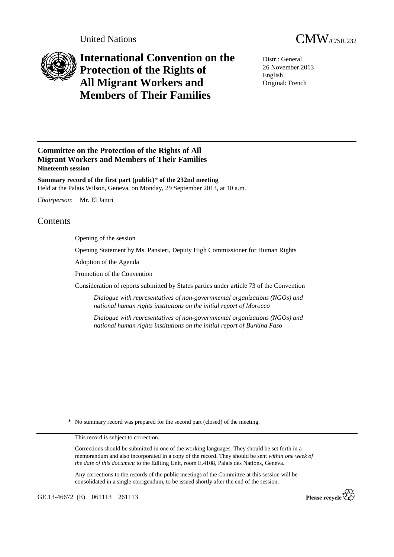



# **International Convention on the Protection of the Rights of All Migrant Workers and Members of Their Families**

Distr.: General 26 November 2013 English Original: French

## **Committee on the Protection of the Rights of All Migrant Workers and Members of Their Families Nineteenth session**

**Summary record of the first part (public)**\* **of the 232nd meeting**  Held at the Palais Wilson, Geneva, on Monday, 29 September 2013, at 10 a.m.

*Chairperson*: Mr. El Jamri

# Contents

Opening of the session

Opening Statement by Ms. Pansieri, Deputy High Commissioner for Human Rights

Adoption of the Agenda

Promotion of the Convention

Consideration of reports submitted by States parties under article 73 of the Convention

*Dialogue with representatives of non-governmental organizations (NGOs) and national human rights institutions on the initial report of Morocco* 

*Dialogue with representatives of non-governmental organizations (NGOs) and national human rights institutions on the initial report of Burkina Faso* 

\* No summary record was prepared for the second part (closed) of the meeting.

This record is subject to correction.

Corrections should be submitted in one of the working languages. They should be set forth in a memorandum and also incorporated in a copy of the record. They should be sent *within one week of the date of this document* to the Editing Unit, room E.4108, Palais des Nations, Geneva.

Any corrections to the records of the public meetings of the Committee at this session will be consolidated in a single corrigendum, to be issued shortly after the end of the session.

GE.13-46672 (E) 061113 261113

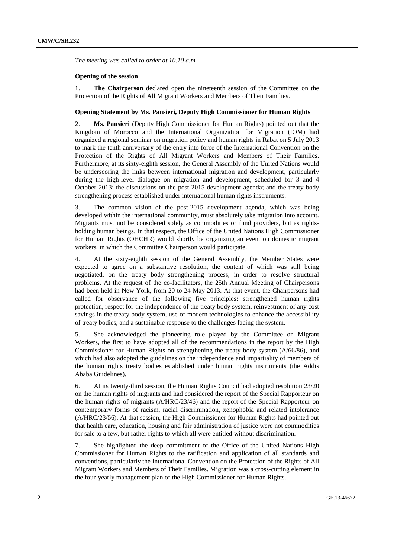*The meeting was called to order at 10.10 a.m.* 

### **Opening of the session**

1. **The Chairperson** declared open the nineteenth session of the Committee on the Protection of the Rights of All Migrant Workers and Members of Their Families.

### **Opening Statement by Ms. Pansieri, Deputy High Commissioner for Human Rights**

2. **Ms. Pansieri** (Deputy High Commissioner for Human Rights) pointed out that the Kingdom of Morocco and the International Organization for Migration (IOM) had organized a regional seminar on migration policy and human rights in Rabat on 5 July 2013 to mark the tenth anniversary of the entry into force of the International Convention on the Protection of the Rights of All Migrant Workers and Members of Their Families. Furthermore, at its sixty-eighth session, the General Assembly of the United Nations would be underscoring the links between international migration and development, particularly during the high-level dialogue on migration and development, scheduled for 3 and 4 October 2013; the discussions on the post-2015 development agenda; and the treaty body strengthening process established under international human rights instruments.

3. The common vision of the post-2015 development agenda, which was being developed within the international community, must absolutely take migration into account. Migrants must not be considered solely as commodities or fund providers, but as rightsholding human beings. In that respect, the Office of the United Nations High Commissioner for Human Rights (OHCHR) would shortly be organizing an event on domestic migrant workers, in which the Committee Chairperson would participate.

4. At the sixty-eighth session of the General Assembly, the Member States were expected to agree on a substantive resolution, the content of which was still being negotiated, on the treaty body strengthening process, in order to resolve structural problems. At the request of the co-facilitators, the 25th Annual Meeting of Chairpersons had been held in New York, from 20 to 24 May 2013. At that event, the Chairpersons had called for observance of the following five principles: strengthened human rights protection, respect for the independence of the treaty body system, reinvestment of any cost savings in the treaty body system, use of modern technologies to enhance the accessibility of treaty bodies, and a sustainable response to the challenges facing the system.

5. She acknowledged the pioneering role played by the Committee on Migrant Workers, the first to have adopted all of the recommendations in the report by the High Commissioner for Human Rights on strengthening the treaty body system (A/66/86), and which had also adopted the guidelines on the independence and impartiality of members of the human rights treaty bodies established under human rights instruments (the Addis Ababa Guidelines).

6. At its twenty-third session, the Human Rights Council had adopted resolution 23/20 on the human rights of migrants and had considered the report of the Special Rapporteur on the human rights of migrants (A/HRC/23/46) and the report of the Special Rapporteur on contemporary forms of racism, racial discrimination, xenophobia and related intolerance (A/HRC/23/56). At that session, the High Commissioner for Human Rights had pointed out that health care, education, housing and fair administration of justice were not commodities for sale to a few, but rather rights to which all were entitled without discrimination.

7. She highlighted the deep commitment of the Office of the United Nations High Commissioner for Human Rights to the ratification and application of all standards and conventions, particularly the International Convention on the Protection of the Rights of All Migrant Workers and Members of Their Families. Migration was a cross-cutting element in the four-yearly management plan of the High Commissioner for Human Rights.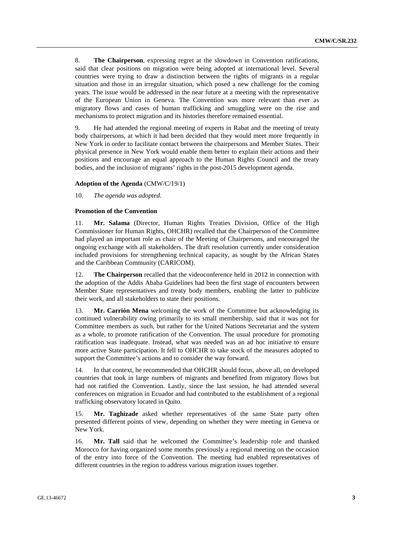8. **The Chairperson**, expressing regret at the slowdown in Convention ratifications, said that clear positions on migration were being adopted at international level. Several countries were trying to draw a distinction between the rights of migrants in a regular situation and those in an irregular situation, which posed a new challenge for the coming years. The issue would be addressed in the near future at a meeting with the representative of the European Union in Geneva. The Convention was more relevant than ever as migratory flows and cases of human trafficking and smuggling were on the rise and mechanisms to protect migration and its histories therefore remained essential.

9. He had attended the regional meeting of experts in Rabat and the meeting of treaty body chairpersons, at which it had been decided that they would meet more frequently in New York in order to facilitate contact between the chairpersons and Member States. Their physical presence in New York would enable them better to explain their actions and their positions and encourage an equal approach to the Human Rights Council and the treaty bodies, and the inclusion of migrants' rights in the post-2015 development agenda.

#### **Adoption of the Agenda** (CMW/C/19/1)

10. *The agenda was adopted.* 

#### **Promotion of the Convention**

11. **Mr. Salama** (Director, Human Rights Treaties Division, Office of the High Commissioner for Human Rights, OHCHR) recalled that the Chairperson of the Committee had played an important role as chair of the Meeting of Chairpersons, and encouraged the ongoing exchange with all stakeholders. The draft resolution currently under consideration included provisions for strengthening technical capacity, as sought by the African States and the Caribbean Community (CARICOM).

12. **The Chairperson** recalled that the videoconference held in 2012 in connection with the adoption of the Addis Ababa Guidelines had been the first stage of encounters between Member State representatives and treaty body members, enabling the latter to publicize their work, and all stakeholders to state their positions.

13. **Mr. Carrión Mena** welcoming the work of the Committee but acknowledging its continued vulnerability owing primarily to its small membership, said that it was not for Committee members as such, but rather for the United Nations Secretariat and the system as a whole, to promote ratification of the Convention. The usual procedure for promoting ratification was inadequate. Instead, what was needed was an ad hoc initiative to ensure more active State participation. It fell to OHCHR to take stock of the measures adopted to support the Committee's actions and to consider the way forward.

14. In that context, he recommended that OHCHR should focus, above all, on developed countries that took in large numbers of migrants and benefited from migratory flows but had not ratified the Convention. Lastly, since the last session, he had attended several conferences on migration in Ecuador and had contributed to the establishment of a regional trafficking observatory located in Quito.

Mr. Taghizade asked whether representatives of the same State party often presented different points of view, depending on whether they were meeting in Geneva or New York.

16. **Mr. Tall** said that he welcomed the Committee's leadership role and thanked Morocco for having organized some months previously a regional meeting on the occasion of the entry into force of the Convention. The meeting had enabled representatives of different countries in the region to address various migration issues together.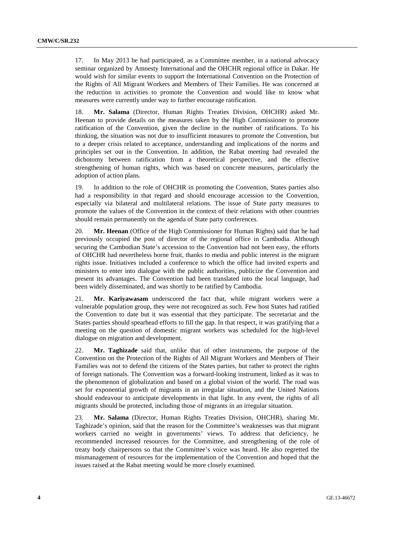17. In May 2013 he had participated, as a Committee member, in a national advocacy seminar organized by Amnesty International and the OHCHR regional office in Dakar. He would wish for similar events to support the International Convention on the Protection of the Rights of All Migrant Workers and Members of Their Families. He was concerned at the reduction in activities to promote the Convention and would like to know what measures were currently under way to further encourage ratification.

18. **Mr. Salama** (Director, Human Rights Treaties Division, OHCHR) asked Mr. Heenan to provide details on the measures taken by the High Commissioner to promote ratification of the Convention, given the decline in the number of ratifications. To his thinking, the situation was not due to insufficient measures to promote the Convention, but to a deeper crisis related to acceptance, understanding and implications of the norms and principles set out in the Convention. In addition, the Rabat meeting had revealed the dichotomy between ratification from a theoretical perspective, and the effective strengthening of human rights, which was based on concrete measures, particularly the adoption of action plans.

19. In addition to the role of OHCHR in promoting the Convention, States parties also had a responsibility in that regard and should encourage accession to the Convention, especially via bilateral and multilateral relations. The issue of State party measures to promote the values of the Convention in the context of their relations with other countries should remain permanently on the agenda of State party conferences.

20. **Mr. Heenan** (Office of the High Commissioner for Human Rights) said that he had previously occupied the post of director of the regional office in Cambodia. Although securing the Cambodian State's accession to the Convention had not been easy, the efforts of OHCHR had nevertheless borne fruit, thanks to media and public interest in the migrant rights issue. Initiatives included a conference to which the office had invited experts and ministers to enter into dialogue with the public authorities, publicize the Convention and present its advantages. The Convention had been translated into the local language, had been widely disseminated, and was shortly to be ratified by Cambodia.

21. **Mr. Kariyawasam** underscored the fact that, while migrant workers were a vulnerable population group, they were not recognized as such. Few host States had ratified the Convention to date but it was essential that they participate. The secretariat and the States parties should spearhead efforts to fill the gap. In that respect, it was gratifying that a meeting on the question of domestic migrant workers was scheduled for the high-level dialogue on migration and development.

22. **Mr. Taghizade** said that, unlike that of other instruments, the purpose of the Convention on the Protection of the Rights of All Migrant Workers and Members of Their Families was not to defend the citizens of the States parties, but rather to protect the rights of foreign nationals. The Convention was a forward-looking instrument, linked as it was to the phenomenon of globalization and based on a global vision of the world. The road was set for exponential growth of migrants in an irregular situation, and the United Nations should endeavour to anticipate developments in that light. In any event, the rights of all migrants should be protected, including those of migrants in an irregular situation.

23. **Mr. Salama** (Director, Human Rights Treaties Division, OHCHR), sharing Mr. Taghizade's opinion, said that the reason for the Committee's weaknesses was that migrant workers carried no weight in governments' views. To address that deficiency, he recommended increased resources for the Committee, and strengthening of the role of treaty body chairpersons so that the Committee's voice was heard. He also regretted the mismanagement of resources for the implementation of the Convention and hoped that the issues raised at the Rabat meeting would be more closely examined.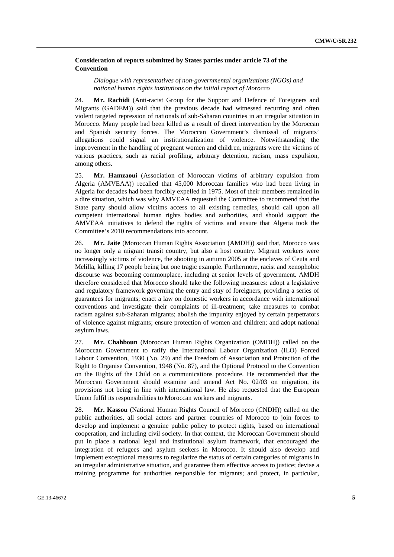## **Consideration of reports submitted by States parties under article 73 of the Convention**

*Dialogue with representatives of non-governmental organizations (NGOs) and national human rights institutions on the initial report of Morocco* 

24. **Mr. Rachidi** (Anti-racist Group for the Support and Defence of Foreigners and Migrants (GADEM)) said that the previous decade had witnessed recurring and often violent targeted repression of nationals of sub-Saharan countries in an irregular situation in Morocco. Many people had been killed as a result of direct intervention by the Moroccan and Spanish security forces. The Moroccan Government's dismissal of migrants' allegations could signal an institutionalization of violence. Notwithstanding the improvement in the handling of pregnant women and children, migrants were the victims of various practices, such as racial profiling, arbitrary detention, racism, mass expulsion, among others.

25. **Mr. Hamzaoui** (Association of Moroccan victims of arbitrary expulsion from Algeria (AMVEAA)) recalled that 45,000 Moroccan families who had been living in Algeria for decades had been forcibly expelled in 1975. Most of their members remained in a dire situation, which was why AMVEAA requested the Committee to recommend that the State party should allow victims access to all existing remedies, should call upon all competent international human rights bodies and authorities, and should support the AMVEAA initiatives to defend the rights of victims and ensure that Algeria took the Committee's 2010 recommendations into account.

26. **Mr. Jaite** (Moroccan Human Rights Association (AMDH)) said that, Morocco was no longer only a migrant transit country, but also a host country. Migrant workers were increasingly victims of violence, the shooting in autumn 2005 at the enclaves of Ceuta and Melilla, killing 17 people being but one tragic example. Furthermore, racist and xenophobic discourse was becoming commonplace, including at senior levels of government. AMDH therefore considered that Morocco should take the following measures: adopt a legislative and regulatory framework governing the entry and stay of foreigners, providing a series of guarantees for migrants; enact a law on domestic workers in accordance with international conventions and investigate their complaints of ill-treatment; take measures to combat racism against sub-Saharan migrants; abolish the impunity enjoyed by certain perpetrators of violence against migrants; ensure protection of women and children; and adopt national asylum laws.

27. **Mr. Chahboun** (Moroccan Human Rights Organization (OMDH)) called on the Moroccan Government to ratify the International Labour Organization (ILO) Forced Labour Convention, 1930 (No. 29) and the Freedom of Association and Protection of the Right to Organise Convention, 1948 (No. 87), and the Optional Protocol to the Convention on the Rights of the Child on a communications procedure. He recommended that the Moroccan Government should examine and amend Act No. 02/03 on migration, its provisions not being in line with international law. He also requested that the European Union fulfil its responsibilities to Moroccan workers and migrants.

28. **Mr. Kassou** (National Human Rights Council of Morocco (CNDH)) called on the public authorities, all social actors and partner countries of Morocco to join forces to develop and implement a genuine public policy to protect rights, based on international cooperation, and including civil society. In that context, the Moroccan Government should put in place a national legal and institutional asylum framework, that encouraged the integration of refugees and asylum seekers in Morocco. It should also develop and implement exceptional measures to regularize the status of certain categories of migrants in an irregular administrative situation, and guarantee them effective access to justice; devise a training programme for authorities responsible for migrants; and protect, in particular,